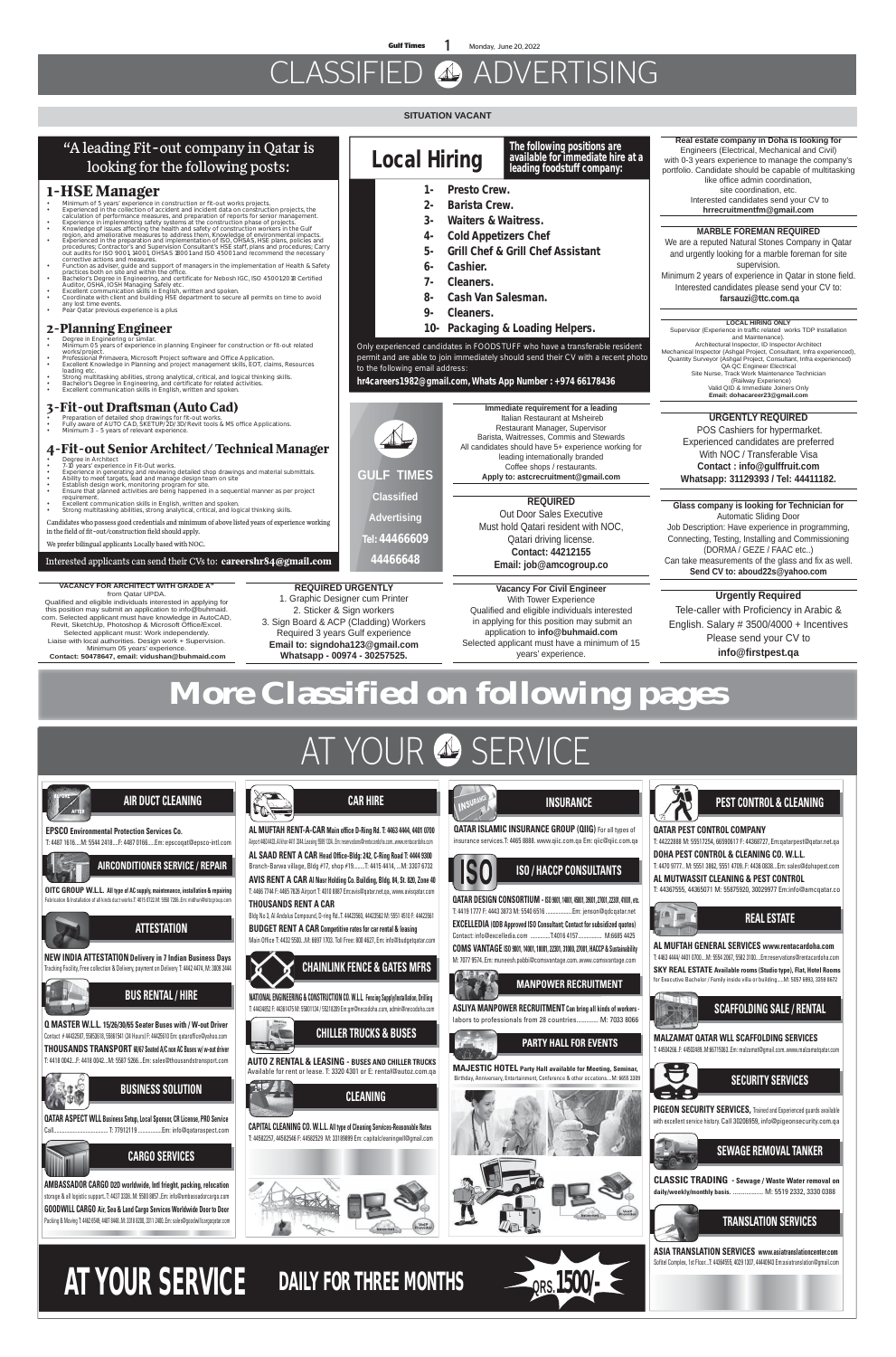# CLASSIFIED ADVERTISING

### **SITUATION VACANT**

**QATAR ISLAMIC INSURANCE GROUP (QIIG)** For all types of insurance services.T: 4465 8888. www.qiic.com.qa Em: qiic@qiic.com.qa **IS ISO / HACCP CONSULTANTS QATAR DESIGN CONSORTIUM -ISO 9001, 14001, 45001, 39001, 27001, 22301, 41001, etc.** T: 4419 1777 F: 4443 3873 M: 5540 6516 ...................Em: jenson@qdcqatar.net TA m **EXCELLEDIA (QDB Approved ISO Consultant; Contact for subsidized quotes)** Contact: info@excelledia.com ..............T:4016 4157................. M:6685 4425 **COMS VANTAGE ISO 9001, 14001, 18001, 22301, 31000, 27001, HACCP & Sustainability** M: 7077 9574..Em: muneesh.pabbi@comsvantage.com..www.comsvantage.com **BAG 26 MANPOWER RECRUITMENT ASLIYA MANPOWER RECRUITMENT Can bring all kinds of workers**  labors to professionals from 28 countries............. M: 7033 8066 **PARTY HALL FOR EVENTS MAJESTIC HOTEL Party Hall available for Meeting, Seminar,** Birthday, Anniversary, Entertainment, Conference & other occations....M: 6655 330





**INSURANCE**



### **QATAR PEST CONTROL COMPANY** T: 44222888 M: 55517254, 66590617 F: 44368727, Em:qatarpest@qatar.net.qa

#### **DOHA PEST CONTROL & CLEANING CO. W.L.L.**  T: 4470 9777.. M: 5551 3862, 5551 4709..F: 4436 0838...Em: sales@dohapest.com

**AL MUTWASSIT CLEANING & PEST CONTROL** T: 44367555, 44365071 M: 55875920, 30029977 Em:info@amcqatar.co





- 
- Degree in Architect 7-10 years' experience in Fit-Out works.
- Experience in generating and reviewing detailed shop drawings and material submittals. Ability to meet targets, lead and manage design team on site Establish design work, monitoring program for site.
- Ensure that planned activities are being happened in a sequential manner as per project
- requirement. Excellent communication skills in English, written and spoken.
- Strong multitasking abilities, strong analytical, critical, and logical thinking skills.

**MALZAMAT QATAR WLL SCAFFOLDING SERVICES** T: 44504266..F: 44502489..M:66715063..Em: malzamat@gmail.com..www.malzamatqatar.com



**ASIA TRANSLATION SERVICES www.asiatranslationcenter.com** Sofitel Complex, 1st Floor...T: 44364555, 4029 1307, 44440943 Em:asiatranslation@gmail.com





### **SEWAGE REMOVAL TANKER**

**CLASSIC TRADING - Sewage / Waste Water removal on daily/weekly/monthly basis.** .................. M: 5519 2332, 3330 0388



**PIGEON SECURITY SERVICES,** Trained and Experienced guards available with excellent service history. Call 30206959, info@pigeonsecurity.com.qa

### **REAL ESTATE**

**AL MUFTAH GENERAL SERVICES www.rentacardoha.com** T: 4463 4444/ 4401 0700....M: 5554 2067, 5582 3100....Em:reservations@rentacardoha.com **SKY REAL ESTATE Available rooms (Studio type), Flat, Hotel Rooms** for Executive Bachelor / Family inside villa or building.....M: 5057 6993, 3359 8672

**Contact: 44212155**

### **Urgently Required**

Tele-caller with Proficiency in Arabic & English. Salary # 3500/4000 + Incentives Please send your CV to **info@firstpest.qa**

**REQUIRED** Out Door Sales Executive Must hold Qatari resident with NOC, Qatari driving license. leading internationally branded Coffee shops / restaurants. **Apply to: astcrecruitment@gmail.com**

**Immediate requirement for a leading** Italian Restaurant at Msheireb Restaurant Manager, Supervisor Barista, Waitresses, Commis and Stewards

### Interested applicants can send their CVs to: **careershr84@gmail.com**

### "A leading Fit-out company in Qatar is looking for the following posts:

### **1-HSE Manager**

- Minimum of 5 years' experience in construction or fit-out works projects.
- 
- 
- Experienced in the collection of accident and incident data on construction projects, the<br>calculation of performance measures, and preparation of reports for senior management.<br>Experience in implementing safety systems a
- procedures; Contractor's and Supervision Consultant's HSE staff, plans and procedures; Carry<br>out audits for ISO 9001, 14001, OHSAS 18001 and ISO 45001 and recommend the necessary<br>corrective actions and measures.
- Function as adviser, guide and support of managers in the implementation of Health & Safety<br>practices both on site and within the office.<br>Bachelor's Degree in Engineering, and certificate for Nebosh IGC, ISO 45001:2018 Cer
- 
- any lost time events. Pear Qatar previous experience is a plus

### **2-Planning Engineer**

- Degree in Engineering or similar.
- Minimum 05 years of experience in planning Engineer for construction or fit-out related works/projec
- Professional Primavera, Microsoft Project software and Office Application. Excellent Knowledge in Planning and project management skills, EOT, claims, Resources
- loading etc. Strong multitasking abilities, strong analytical, critical, and logical thinking skills.
- Bachelor's Degree in Engineering, and certificate for related activities. Excellent communication skills in English, written and spoken.

### **3-Fit-out Draftsman (Auto Cad)**

- Preparation of detailed shop drawings for fit-out works. Fully aware of AUTO CAD, SKETUP/2D/3D/Revit tools & MS office Applications. Minimum 3 5 years of relevant experience.
- 

### **4-Fit-out Senior Architect/ Technical Manager**



#### Candidates who possess good credentials and minimum of above listed years of experience working in the field of fit-out/construction field should apply.



#### We prefer bilingual applicants Locally based with NOC.

**The following positions are** 

Only experienced candidates in FOODSTUFF who have a transferable resident permit and are able to join immediately should send their CV with a recent photo to the following email address:

**hr4careers1982@gmail.com, Whats App Number : +974 66178436**

- **1- Presto Crew.**
- **2- Barista Crew.**
- **3- Waiters & Waitress.**
- **4- Cold Appetizers Chef**
- **5- Grill Chef & Grill Chef Assistant**
- **6- Cashier.**
- **7- Cleaners.**
- **8- Cash Van Salesman.**
- **9- Cleaners.**
- **10- Packaging & Loading Helpers.**

**Real estate company in Doha is looking for** 

Engineers (Electrical, Mechanical and Civil) with 0-3 years experience to manage the company's portfolio. Candidate should be capable of multitasking like office admin coordination, site coordination, etc. Interested candidates send your CV to **hrrecruitmentfm@gmail.com**

### **MARBLE FOREMAN REQUIRED**

We are a reputed Natural Stones Company in Qatar and urgently looking for a marble foreman for site supervision. Minimum 2 years of experience in Qatar in stone field.

Interested candidates please send your CV to:

### **farsauzi@ttc.com.qa**

**REQUIRED URGENTLY**

2. Sticker & Sign workers 3. Sign Board & ACP (Cladding) Workers Required 3 years Gulf experience **Email to: signdoha123@gmail.com Whatsapp - 00974 - 30257525.**

**URGENTLY REQUIRED**

 POS Cashiers for hypermarket. Experienced candidates are preferred With NOC / Transferable Visa **Contact : info@gulffruit.com Whatsapp: 31129393 / Tel: 44411182.**

#### **LOCAL HIRING ONLY** Supervisor (Experience in traffic related works TDP Installation and Maintenance). Architectural Inspector, ID Inspector Architect Mechanical Inspector (Ashgal Project, Consultant, Infra experienced), Quantity Surveyor (Ashgal Project, Consultant, Infra experienced) QA QC Engineer Electrical Site Nurse, Track Work Maintenance Technician (Railway Experience) Valid QID & Immediate Joiners Only **Email: dohacareer23@gmail.com**

### **Glass company is looking for Technician for**

Automatic Sliding Door Job Description: Have experience in programming, Connecting, Testing, Installing and Commissioning (DORMA / GEZE / FAAC etc..) Can take measurements of the glass and fix as well. **Send CV to: aboud22s@yahoo.com**

**Vacancy For Civil Engineer**  With Tower Experience Qualified and eligible individuals interested in applying for this position may submit an application to **info@buhmaid.com** Selected applicant must have a minimum of 15 years' experience.

**VACANCY FOR ARCHITECT WITH GRADE A"**  from Qatar UPDA.

- Qualified and eligible individuals interested in applying for this position may submit an application to info@buhmaid. com. Selected applicant must have knowledge in AutoCAD, Revit, SketchUp, Photoshop & Microsoft Office/Excel. Selected applicant must: Work independently. Liaise with local authorities. Design work + Supervision. Minimum 05 years' experience.
- **Contact: 50478647, email: vidushan@buhmaid.com**

**Local Hiring leading foodstuff company:** 

# **More Classified on following pages**

# AT YOUR & SERVICE

**Tel: 44466609 44466648**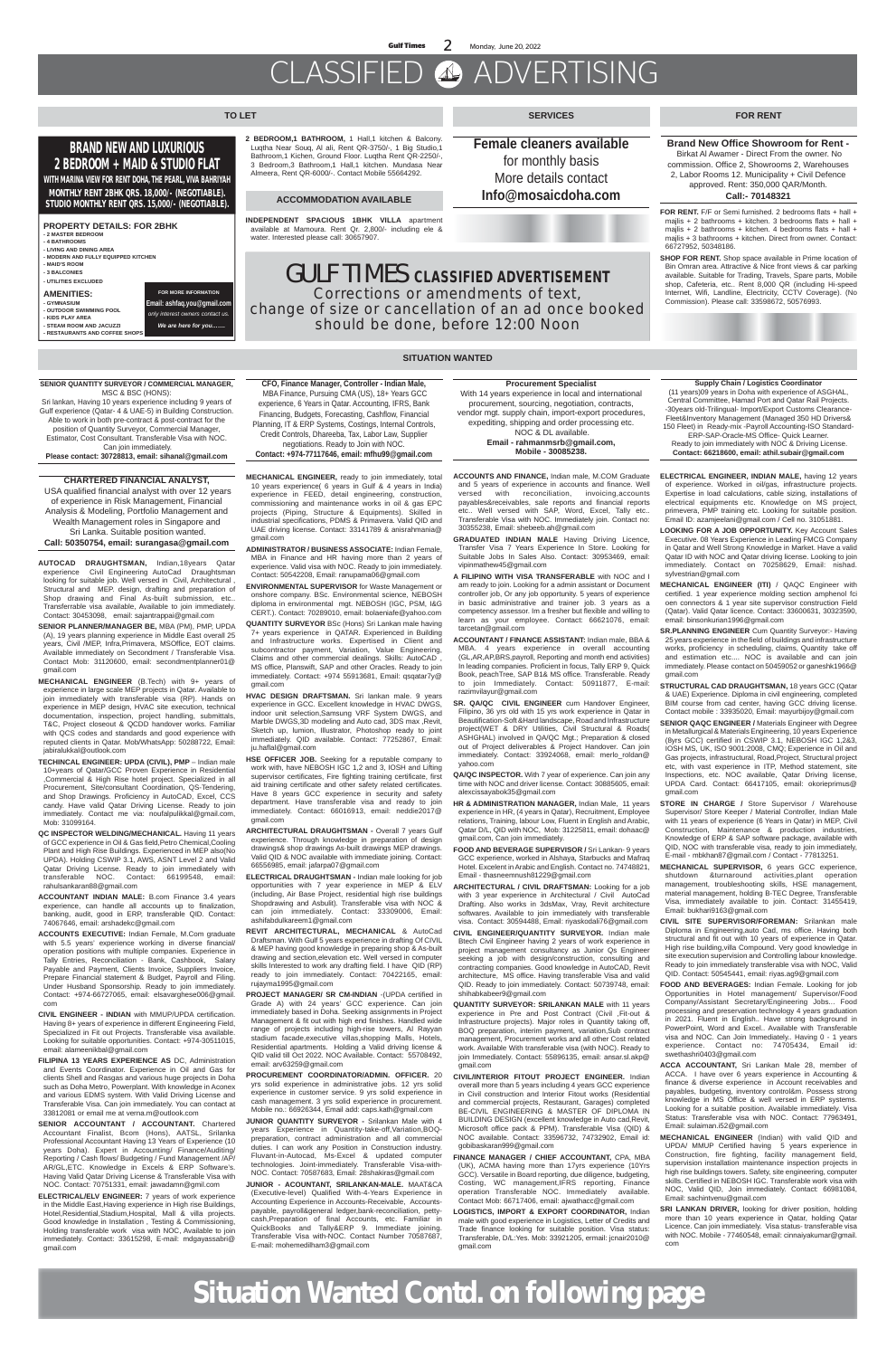# CLASSIFIED ADVERTISING

### **FOR RENT**

#### **SITUATION WANTED**

GULF TIMES **CLASSIFIED ADVERTISEMENT Corrections or amendments of text, change of size or cancellation of an ad once booked should be done, before 12:00 Noon**

**FOR RENT.** F/F or Semi furnished. 2 bedrooms flats + hall + mailis + 2 bathrooms + kitchen. 3 bedrooms flats + hall + majlis + 2 bathrooms + kitchen. 4 bedrooms flats + hall + majlis + 3 bathrooms + kitchen. Direct from owner. Contact: 66727952, 50348186.

**SHOP FOR RENT.** Shop space available in Prime location of Bin Omran area. Attractive & Nice front views & car parking available. Suitable for Trading, Travels, Spare parts, Mobile shop, Cafeteria, etc.. Rent 8,000 QR (including Hi-speed Internet, Wifi, Landline, Electricity, CCTV Coverage). (No Commission). Please call: 33598672, 50576993.

**Brand New Office Showroom for Rent -** Birkat Al Awamer - Direct From the owner. No commission. Office 2, Showrooms 2, Warehouses 2, Labor Rooms 12. Municipality + Civil Defence approved. Rent: 350,000 QAR/Month.

### **Call:- 70148321**

**SERVICES**

**Female cleaners available** for monthly basis More details contact **Info@mosaicdoha.com**

**2 BEDROOM,1 BATHROOM,** 1 Hall,1 kitchen & Balcony. Luqtha Near Souq, Al ali, Rent QR-3750/-, 1 Big Studio,1 Bathroom,1 Kichen, Ground Floor. Luqtha Rent QR-2250/-, 3 Bedroom,3 Bathroom,1 Hall,1 kitchen. Mundasa Near Almeera, Rent QR-6000/-. Contact Mobile 55664292.

### **TO LET**

### **BRAND NEW AND LUXURIOUS 2 BEDROOM + MAID & STUDIO FLAT**

**WITH MARINA VIEW FOR RENT DOHA, THE PEARL, VIVA BAHRIYAH MONTHLY RENT 2BHK QRS. 18,000/- (NEGOTIABLE). STUDIO MONTHLY RENT QRS. 15,000/- (NEGOTIABLE).**

#### **PROPERTY DETAILS: FOR 2BHK - 2 MASTER BEDROOM - 4 BATHROOMS**

**- LIVING AND DINING AREA - MODERN AND FULLY EQUIPPED KITCHEN - MAID'S ROOM**

**- 3 BALCONIES**

#### **- UTILITIES EXCLUDED**

**AMENITIES: - GYMNASIUM - OUTDOOR SWIMMING POOL - KIDS PLAY AREA - STEAM ROOM AND JACUZZI**

**- RESTAURANTS AND COFFEE SHOPS**

**FOR MORE INFORMATION Email: ashfaq.you@gmail.com**  *only interest owners contact us. We are here for you…….*

#### **ACCOMMODATION AVAILABLE**

**INDEPENDENT SPACIOUS 1BHK VILLA** apartment available at Mamoura. Rent Qr. 2,800/- including ele & water. Interested please call: 30657907.

#### **SENIOR QUANTITY SURVEYOR / COMMERCIAL MANAGER,** MSC & BSC (HONS):

Sri lankan, Having 10 years experience including 9 years of Gulf experience (Qatar- 4 & UAE-5) in Building Construction. Able to work in both pre-contract & post-contract for the position of Quantity Surveyor, Commercial Manager, Estimator, Cost Consultant. Transferable Visa with NOC. Can join immediately. **Please contact: 30728813, email: sihanal@gmail.com**

### **CHARTERED FINANCIAL ANALYST,**

 USA qualified financial analyst with over 12 years of experience in Risk Management, Financial Analysis & Modeling, Portfolio Management and Wealth Management roles in Singapore and Sri Lanka. Suitable position wanted. **Call: 50350754, email: surangasa@gmail.com**

**CFO, Finance Manager, Controller - Indian Male,** MBA Finance, Pursuing CMA (US), 18+ Years GCC experience, 6 Years in Qatar. Accounting, IFRS, Bank Financing, Budgets, Forecasting, Cashflow, Financial Planning, IT & ERP Systems, Costings, Internal Controls, Credit Controls, Dhareeba, Tax, Labor Law, Supplier

negotiations. Ready to Join with NOC.

**Contact: +974-77117646, email: mfhu99@gmail.com**

**Supply Chain / Logistics Coordinator**

(11 years)09 years in Doha with experience of ASGHAL, Central Committee, Hamad Port and Qatar Rail Projects. -30years old-Trilingual- Import/Export Customs Clearance-Fleet&Inventory Management (Managed 350 HD Drivers& 150 Fleet) in Ready-mix -Payroll Accounting-ISO Standard-ERP-SAP-Oracle-MS Office- Quick Learner.

 Ready to join immediately with NOC & Driving License. **Contact: 66218600, email: athil.subair@gmail.com**

**Procurement Specialist**

With 14 years experience in local and international procurement, sourcing, negotiation, contracts, vendor mgt. supply chain, import-export procedures, expediting, shipping and order processing etc. NOC & DL available. **Email - rahmanmsrb@gmail.com, Mobile - 30085238.**

**AUTOCAD DRAUGHTSMAN,** Indian,18years Qatar experience Civil Engineering AutoCad Draughtsman looking for suitable job. Well versed in Civil, Architectural , Structural and MEP. design, drafting and preparation of Shop drawing and Final As-built submission, etc.. Transferrable visa available, Available to join immediately. Contact: 30453098, email: sajantrappai@gmail.com

**SENIOR PLANNER/MANAGER BE,** MBA (PM), PMP, UPDA (A), 19 years planning experience in Middle East overall 25 years, Civil /MEP, Infra,Primavera, MSOffice, EOT claims. Available immediately on Secondment / Transferable Visa. Contact Mob: 31120600, email: secondmentplanner01@ gmail.com

**MECHANICAL ENGINEER** (B.Tech) with 9+ years of experience in large scale MEP projects in Qatar. Available to join immediately with transferable visa (RP). Hands on experience in MEP design, HVAC site execution, technical documentation, inspection, project handling, submittals, T&C, Project closeout & QCDD handover works. Familiar with QCS codes and standards and good experience with reputed clients in Qatar. Mob/WhatsApp: 50288722, Email: jabiralukkal@outlook.com

**TECHINCAL ENGINEER: UPDA (CIVIL), PMP** – Indian male 10+years of Qatar/GCC Proven Experience in Residential ,Commercial & High Rise hotel project. Specialized in all Procurement, Site/consultant Coordination, QS-Tendering, and Shop Drawings. Proficiency in AutoCAD, Excel, CCS candy. Have valid Qatar Driving License. Ready to join immediately. Contact me via: noufalpulikkal@gmail.com, Mob: 31099164.

- **QC INSPECTOR WELDING/MECHANICAL.** Having 11 years of GCC experience in Oil & Gas field,Petro Chemical,Cooling Plant and High Rise Buildings. Experienced in MEP also(No UPDA). Holding CSWIP 3.1, AWS, ASNT Level 2 and Valid Qatar Driving License. Ready to join immediately with transferable NOC. Contact: 66199548, email: rahulsankaran88@gmail.com
- **ACCOUNTANT INDIAN MALE:** B.com Finance 3.4 years experience, can handle all accounts up to finalization, banking, audit, good in ERP, transferable QID. Contact: 74067646, email: arshadekc@gmail.com

**ACCOUNTS EXECUTIVE:** Indian Female, M.Com graduate with 5.5 years' experience working in diverse financial/ operation positions with multiple companies. Experience in Tally Entries, Reconciliation - Bank, Cashbook, Salary Payable and Payment, Clients Invoice, Suppliers Invoice, Prepare Financial statement & Budget, Payroll and Filing. Under Husband Sponsorship. Ready to join immediately. Contact: +974-66727065, email: elsavarghese006@gmail. com

**CIVIL ENGINEER - INDIAN** with MMUP/UPDA certification. Having 8+ years of experience in different Engineering Field, Specialized in Fit out Projects. Transferable visa available. Looking for suitable opportunities. Contact: +974-30511015, email: alameenikbal@gmail.com

**FILIPINA 13 YEARS EXPERIENCE AS** DC, Administration and Events Coordinator. Experience in Oil and Gas for clients Shell and Rasgas and various huge projects in Doha such as Doha Metro, Powerplant. With knowledge in Aconex and various EDMS system. With Valid Driving License and Transferable Visa. Can join immediately. You can contact at 33812081 or email me at verna.m@outlook.com

**SENIOR ACCOUNTANT / ACCOUNTANT.** Chartered Accountant Finalist, Bcom (Hons), AATSL, Srilanka Professional Accountant Having 13 Years of Experience (10 years Doha). Expert in Accounting/ Finance/Auditing/ Reporting / Cash flows/ Budgeting / Fund Management /AP/ AR/GL,ETC. Knowledge in Excels & ERP Software's. Having Valid Qatar Driving License & Transferable Visa with NOC. Contact: 70751331, email: jawadamn@gmil.com

**ELECTRICAL/ELV ENGINEER:** 7 years of work experience in the Middle East,Having experience in High rise Buildings, Hotel,Residential,Stadium,Hospital, Mall & villa projects. Good knowledge in Installation , Testing & Commissioning, Holding transferable work visa with NOC, Available to join immediately. Contact: 33615298, E-mail: mdgayassabri@ gmail.com

**MECHANICAL ENGINEER,** ready to join immediately, total 10 years experience( 6 years in Gulf & 4 years in India) experience in FEED, detail engineering, construction, commissioning and maintenance works in oil & gas EPC projects (Piping, Structure & Equipments). Skilled in industrial specifications, PDMS & Primavera. Valid QID and UAE driving license. Contact: 33141789 & anisrahmania@ gmail.com

**ADMINISTRATOR / BUSINESS ASSOCIATE:** Indian Female, MBA in Finance and HR having more than 2 years of experience. Valid visa with NOC. Ready to join immediately. Contact: 50542208, Email: ranupama06@gmail.com

**ENVIRONMENTAL SUPERVISOR** for Waste Management or onshore company. BSc. Environmental science, NEBOSH diploma in environmental mgt. NEBOSH (IGC, PSM, I&G CERT.). Contact: 70289010, email: bolaeniafe@yahoo.com **QUANTITY SURVEYOR** BSc (Hons) Sri Lankan male having 7+ years experience in QATAR. Experienced in Building and Infrastructure works. Expertised in Client and subcontractor payment, Variation, Value Engineering, Claims and other commercial dealings. Skills: AutoCAD , MS office, Planswift, SAP and other Oracles. Ready to join immediately. Contact: +974 55913681, Email: qsqatar7y@ gmail.com

**HVAC DESIGN DRAFTSMAN.** Sri lankan male. 9 years experience in GCC. Excellent knowledge in HVAC DWGS, indoor unit selection,Samsung VRF System DWGS, and Marble DWGS,3D modeling and Auto cad, 3DS max ,Revit, Sketch up, lumion, Illustrator, Photoshop ready to joint immediately. QID available. Contact: 77252867, Email: ju.haflal@gmail.com

**HSE OFFICER JOB.** Seeking for a reputable company to work with, have NEBOSH IGC 1,2 and 3, IOSH and Lifting supervisor certificates, Fire fighting training certificate, first aid training certificate and other safety related certificates. Have 8 years GCC experience in security and safety department. Have transferable visa and ready to join immediately. Contact: 66016913, email: neddie2017@

gmail.com

- **ARCHITECTURAL DRAUGHTSMAN -** Overall 7 years Gulf experience. Through knowledge in preparation of design drawings& shop drawings As-built drawings MEP drawings. Valid QID & NOC available with immediate joining. Contact: 66556985, email: jafarpa07@gmail.com
- **ELECTRICAL DRAUGHTSMAN -** Indian male looking for job opportunities with 7 year experience in MEP & ELV (including, Air Base Project, residential high rise buildings Shopdrawing and Asbulit). Transferable visa with NOC & can join immediately. Contact: 33309006, Email: ashifabdulkareem1@gmail.com

**REVIT ARCHITECTURAL, MECHANICAL** & AutoCad Draftsman. With Gulf 5 years experience in drafting Of CIVIL & MEP having good knowledge in preparing shop & As-built drawing and section,elevation etc. Well versed in computer skills Interested to work any drafting field. I have QID (RP) ready to join immediately. Contact: 70422165, email: rujayma1995@gmail.com

**PROJECT MANAGER/ SR CM-INDIAN** -(UPDA certified in Grade A) with 24 years' GCC experience. Can join immediately based in Doha. Seeking assignments in Project Management & fit out with high end finishes. Handled wide range of projects including high-rise towers, Al Rayyan stadium facade,executive villas, shopping Malls, Hotels, Residential apartments. Holding a Valid driving license & QID valid till Oct 2022. NOC Available. Contact: 55708492, email: arv63259@gmail.com

**PROCUREMENT COORDINATOR/ADMIN. OFFICER.** 20 yrs solid experience in administrative jobs. 12 yrs solid experience in customer service. 9 yrs solid experience in cash management. 3 yrs solid experience in procurement. Mobile no.: 66926344, Email add: caps.kath@gmail.com

**JUNIOR QUANTITY SURVEYOR -** Srilankan Male with 4 years Experience in Quantity-take-off,Variation,BOQpreparation, contract administration and all commercial duties. I can work any Position in Construction industry. Fluvant-in-Autocad, Ms-Excel & updated computer technologies. Joint-immediately. Transferable Visa-with-NOC. Contact: 70587683, Email: 28shakiras@gmail.com

**JUNIOR - ACOUNTANT, SRILANKAN-MALE.** MAAT&CA (Executive-level) Qualified With-4-Years Experience in Accounting Experience in Accounts-Receivable, Accountspayable, payroll&general ledger,bank-reconciliation, pettycash,Preparation of final Accounts, etc. Familiar in QuickBooks and Tally&ERP 9. Immediate joining. Transferable Visa with-NOC. Contact Number 70587687, E-mail: mohemedilham3@gmail.com

**ACCOUNTS AND FINANCE,** Indian male, M.COM Graduate and 5 years of experience in accounts and finance. Well versed with reconciliation, invoicing,accounts payables&receivables, sale reports and financial reports etc.. Well versed with SAP, Word, Excel, Tally etc.. Transferable Visa with NOC. Immediately join. Contact no: 30355238, Email: shebeeb.ah@gmail.com

**GRADUATED INDIAN MALE** Having Driving Licence, Transfer Visa 7 Years Experience In Store. Looking for Suitable Jobs In Sales Also. Contact: 30953469, email: vipinmathew45@gmail.com

**A FILIPINO WITH VISA TRANSFERABLE** with NOC and I am ready to join. Looking for a admin assistant or Document controller job, Or any job opportunity. 5 years of experience in basic administrative and trainer job. 3 years as a competency assessor. Im a fresher but flexible and willing to learn as your employee. Contact: 66621076, email: tarcetan@gmail.com

**ACCOUNTANT / FINANCE ASSISTANT:** Indian male, BBA & MBA. 4 years experience in overall accounting (GL,AR,AP,BRS,payroll, Reporting and month end activities) In leading companies. Proficient in focus, Tally ERP 9, Quick Book, peachTree, SAP B1& MS office. Transferable. Ready to join Immediately. Contact: 50911877, E-mail: razimvilayur@gmail.com

**SR. QA/QC CIVIL ENGINEER** cum Handover Engineer, Filipino, 36 yrs old with 15 yrs work experience in Qatar in Beautification-Soft &Hard landscape, Road and Infrastructure project(WET & DRY Utilities, Civil Structural & Roads( ASHGHAL) involved in QA/QC Mgt.; Preparation & closed out of Project deliverables & Project Handover. Can join immediately. Contact: 33924068, email: merlo\_roldan@ yahoo.com

**QA/QC INSPECTOR.** With 7 year of experience. Can join any time with NOC and driver license. Contact: 30885605, email: alexcissayabok35@gmail.com

**HR & ADMINISTRATION MANAGER,** Indian Male, 11 years

experience in HR, (4 years in Qatar), Recruitment, Employee relations, Training, labour Low, Fluent in English and Arabic, Qatar D/L, QID with NOC, Mob: 31225811, email: dohaac@ gmail.com, Can join immediately.

**FOOD AND BEVERAGE SUPERVISOR /** Sri Lankan- 9 years GCC experience, worked in Alshaya, Starbucks and Mafraq Hotel. Excelent in Arabic and English. Contact no. 74748821, Email - thasneemnush81229@gmail.com

**ARCHITECTURAL / CIVIL DRAFTSMAN:** Looking for a job with 3 year experience in Architectural / Civil AutoCad Drafting. Also works in 3dsMax, Vray, Revit architecture softwares. Available to join immediately with transferable visa. Contact: 30594488, Email: riyaskodali76@gmail.com

**CIVIL ENGINEER/QUANTITY SURVEYOR.** Indian male Btech Civil Engineer having 2 years of work experience in project management consultancy as Junior Qs Engineer seeking a job with design/construction, consulting and contracting companies. Good knowledge in AutoCAD, Revit architecture, MS office. Having transferable Visa and valid QID. Ready to join immediately. Contact: 50739748, email: shihabkabeer9@gmail.com

**QUANTITY SURVEYOR: SRILANKAN MALE** with 11 years experience in Pre and Post Contract (Civil ,Fit-out & Infrastructure projects). Major roles in Quantity taking off, BOQ preparation, interim payment, variation,Sub contract management, Procurement works and all other Cost related work. Available With transferable visa (with NOC). Ready to join Immediately. Contact: 55896135, email: ansar.sl.akp@ gmail.com

**CIVIL/INTERIOR FITOUT PROJECT ENGINEER.** Indian overall more than 5 years including 4 years GCC experience in Civil construction and Interior Fitout works (Residential and commercial projects, Restaurant, Garages) completed BE-CIVIL ENGINEERING & MASTER OF DIPLOMA IN BUILDING DESIGN (excellent knowledge in Auto cad,Revit, Microsoft office pack & PPM). Transferable Visa (QID) & NOC available. Contact: 33596732, 74732902, Email id: gobibaskaran999@gmail.com

- **FINANCE MANAGER / CHIEF ACCOUNTANT,** CPA, MBA (UK), ACMA having more than 17yrs experience (10Yrs GCC). Versatile in Board reporting, due diligence, budgeting, Costing, WC management,IFRS reporting, Finance operation Transferable NOC. Immediately available. Contact Mob: 66717406, email: ajwathacc@gmail.com
- **LOGISTICS, IMPORT & EXPORT COORDINATOR,** Indian male with good experience in Logistics, Letter of Credits and Trade finance looking for suitable position. Visa status: Transferable, D/L:Yes. Mob: 33921205, ermail: jcnair2010@ gmail.com
- **ELECTRICAL ENGINEER, INDIAN MALE,** having 12 years of experience. Worked in oil/gas, infrastructure projects. Expertise in load calculations, cable sizing, installations of electrical equipments etc. Knowledge on MS project, primevera, PMP training etc. Looking for suitable position. Email ID: azamjeelani@gmail.com / Cell no. 31051881.
- **LOOKING FOR A JOB OPPORTUNITY.** Key Account Sales Executive. 08 Years Experience in Leading FMCG Company in Qatar and Well Strong Knowledge in Market. Have a valid Qatar ID with NOC and Qatar driving license. Looking to join immediately. Contact on 70258629, Email: nishad. sylvestrian@gmail.com
- **MECHANICAL ENGINEER (ITI)** / QAQC Engineer with certified. 1 year experience molding section amphenol fci oen connectors & 1 year site supervisor construction Field (Qatar). Valid Qatar licence. Contact: 33600631, 30323590, email: binsonkurian1996@gmail.com

**SR.PLANNING ENGINEER** Cum Quantity Surveyor:- Having 25 years experience in the field of buildings and infrastructure works, proficiency in scheduling, claims, Quantity take off and estimation etc.... NOC is available and can join immediately. Please contact on 50459052 or ganeshk1966@ gmail.com

**STRUCTURAL CAD DRAUGHTSMAN,** 18 years GCC (Qatar & UAE) Experience. Diploma in civil engineering, completed BIM course from cad center, having GCC driving license. Contact mobile : 33935020, Email: mayurbijoy@gmail.com

**SENIOR QAQC ENGINEER /** Materials Engineer with Degree in Metallurgical & Materials Engineering, 10 years Experience (8vrs GCC) certified in CSWIP 3.1, NEBOSH IGC 1,2&3, IOSH MS, UK, ISO 9001:2008, CMQ; Experience in Oil and Gas projects, infrastructural, Road,Project, Structural project etc, with vast experience in ITP, Method statement, site Inspections, etc. NOC available, Qatar Driving license, UPDA Card. Contact: 66417105, email: okorieprimus@ gmail.com

**STORE IN CHARGE /** Store Supervisor / Warehouse

Supervisor/ Store Keeper / Material Controller, Indian Male with 11 years of experience (6 Years in Qatar) in MEP, Civil Construction, Maintenance & production industries, Knowledge of ERP & SAP software package, available with QID, NOC with transferable visa, ready to join immediately, E-mail - mbkhan87@gmail.com / Contact - 77813251.

**MECHANICAL SUPERVISOR,** 6 years GCC experience, shutdown &turnaround activities, plant operation management, troubleshooting skills, HSE management, material management, holding B-TEC Degree, Transferable Visa, immediately available to join. Contact: 31455419, Email: bukhari9163@gmail.com

**CIVIL SITE SUPERVISOR/FOREMAN:** Srilankan male Diploma in Engineering,auto Cad, ms office. Having both structural and fit out with 10 years of experience in Qatar. High rise building,villa Compound. Very good knowledge in site execution supervision and Controlling labour knowledge. Ready to join immediately transferable visa with NOC, Valid QID. Contact: 50545441, email: riyas.ag9@gmail.com

**FOOD AND BEVERAGES:** Indian Female. Looking for job Opportunities in Hotel management/ Supervisor/Food Company/Assistant Secretary/Engineering Jobs... Food processing and preservation technology 4 years graduation in 2021. Fluent in English.. Have strong background in PowerPoint, Word and Excel.. Available with Transferable visa and NOC. Can Join Immediately.. Having 0 - 1 years experience. Contact no: 74705434, Email id: swethashri0403@gmail.com

**ACCA ACCOUNTANT,** Sri Lankan Male 28, member of ACCA. I have over 6 years experience in Accounting & finance & diverse experience in Account receivables and payables, budgeting, inventory control&m. Possess strong knowledge in MS Office & well versed in ERP systems. Looking for a suitable position. Available immediately. Visa Status: Transferable visa with NOC. Contact: 77963491, Email: sulaiman.i52@gmail.com

- **MECHANICAL ENGINEER** (Indian) with valid QID and UPDA/ MMUP Certified having 5 years experience in Construction, fire fighting, facility management field, supervision installation maintenance inspection projects in high rise buildings towers. Safety, site engineering, computer skills. Certified in NEBOSH IGC. Transferable work visa with NOC, Valid QID, Join immediately. Contact: 66981084, Email: sachintvenu@gmail.com
- **SRI LANKAN DRIVER,** looking for driver position, holding more than 10 years experience in Qatar, holding Qatar Licence. Can join immediately. Visa status- transferable visa with NOC. Mobile - 77460548, email: cinnaiyakumar@gmail. com

## **Situation Wanted Contd. on following page**